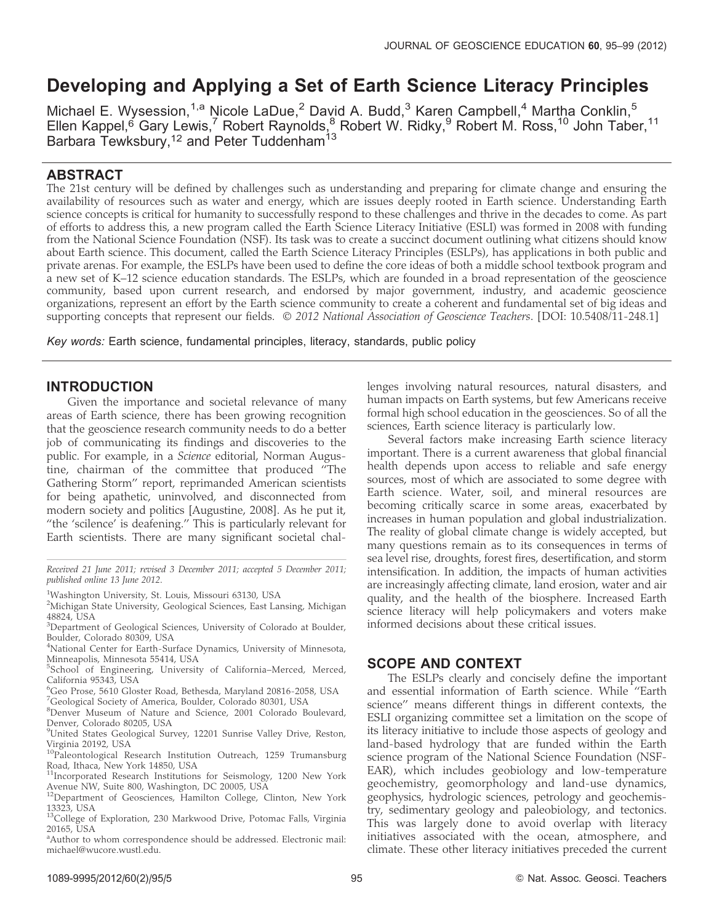# Developing and Applying a Set of Earth Science Literacy Principles

Michael E. Wysession,<sup>1,a</sup> Nicole LaDue,<sup>2</sup> David A. Budd,<sup>3</sup> Karen Campbell,<sup>4</sup> Martha Conklin,<sup>5</sup> Ellen Kappel,<sup>6</sup> Gary Lewis,<sup>7</sup> Robert Raynolds,<sup>8</sup> Robert W. Ridky,<sup>9</sup> Robert M. Ross,<sup>10</sup> John Taber,<sup>11</sup> Barbara Tewksbury,<sup>12</sup> and Peter Tuddenham<sup>13</sup>

# ABSTRACT

The 21st century will be defined by challenges such as understanding and preparing for climate change and ensuring the availability of resources such as water and energy, which are issues deeply rooted in Earth science. Understanding Earth science concepts is critical for humanity to successfully respond to these challenges and thrive in the decades to come. As part of efforts to address this, a new program called the Earth Science Literacy Initiative (ESLI) was formed in 2008 with funding from the National Science Foundation (NSF). Its task was to create a succinct document outlining what citizens should know about Earth science. This document, called the Earth Science Literacy Principles (ESLPs), has applications in both public and private arenas. For example, the ESLPs have been used to define the core ideas of both a middle school textbook program and a new set of K–12 science education standards. The ESLPs, which are founded in a broad representation of the geoscience community, based upon current research, and endorsed by major government, industry, and academic geoscience organizations, represent an effort by the Earth science community to create a coherent and fundamental set of big ideas and supporting concepts that represent our fields. © 2012 National Association of Geoscience Teachers. [DOI: 10.5408/11-248.1]

Key words: Earth science, fundamental principles, literacy, standards, public policy

## INTRODUCTION

Given the importance and societal relevance of many areas of Earth science, there has been growing recognition that the geoscience research community needs to do a better job of communicating its findings and discoveries to the public. For example, in a Science editorial, Norman Augustine, chairman of the committee that produced ''The Gathering Storm'' report, reprimanded American scientists for being apathetic, uninvolved, and disconnected from modern society and politics [Augustine, 2008]. As he put it, ''the 'scilence' is deafening.'' This is particularly relevant for Earth scientists. There are many significant societal chal-

Received 21 June 2011; revised 3 December 2011; accepted 5 December 2011; published online 13 June 2012.

<sup>1</sup>Washington University, St. Louis, Missouri 63130, USA

<sup>2</sup>Michigan State University, Geological Sciences, East Lansing, Michigan 48824, USA

<sup>3</sup>Department of Geological Sciences, University of Colorado at Boulder, Boulder, Colorado 80309, USA

<sup>4</sup>National Center for Earth-Surface Dynamics, University of Minnesota, Minneapolis, Minnesota 55414, USA

<sup>5</sup>School of Engineering, University of California–Merced, Merced, California 95343, USA

6 Geo Prose, 5610 Gloster Road, Bethesda, Maryland 20816-2058, USA

<sup>7</sup>Geological Society of America, Boulder, Colorado 80301, USA

8 Denver Museum of Nature and Science, 2001 Colorado Boulevard, Denver, Colorado 80205, USA

9 United States Geological Survey, 12201 Sunrise Valley Drive, Reston, Virginia 20192, USA

<sup>10</sup>Paleontological Research Institution Outreach, 1259 Trumansburg Road, Ithaca, New York 14850, USA

<sup>11</sup>Incorporated Research Institutions for Seismology, 1200 New York

Avenue NW, Suite 800, Washington, DC 20005, USA<br><sup>12</sup>Department of Geosciences, Hamilton College, Clinton, New York 13323, USA

<sup>13</sup>College of Exploration, 230 Markwood Drive, Potomac Falls, Virginia 20165, USA

<sup>a</sup> Author to whom correspondence should be addressed. Electronic mail: michael@wucore.wustl.edu.

lenges involving natural resources, natural disasters, and human impacts on Earth systems, but few Americans receive formal high school education in the geosciences. So of all the sciences, Earth science literacy is particularly low.

Several factors make increasing Earth science literacy important. There is a current awareness that global financial health depends upon access to reliable and safe energy sources, most of which are associated to some degree with Earth science. Water, soil, and mineral resources are becoming critically scarce in some areas, exacerbated by increases in human population and global industrialization. The reality of global climate change is widely accepted, but many questions remain as to its consequences in terms of sea level rise, droughts, forest fires, desertification, and storm intensification. In addition, the impacts of human activities are increasingly affecting climate, land erosion, water and air quality, and the health of the biosphere. Increased Earth science literacy will help policymakers and voters make informed decisions about these critical issues.

## SCOPE AND CONTEXT

The ESLPs clearly and concisely define the important and essential information of Earth science. While ''Earth science'' means different things in different contexts, the ESLI organizing committee set a limitation on the scope of its literacy initiative to include those aspects of geology and land-based hydrology that are funded within the Earth science program of the National Science Foundation (NSF-EAR), which includes geobiology and low-temperature geochemistry, geomorphology and land-use dynamics, geophysics, hydrologic sciences, petrology and geochemistry, sedimentary geology and paleobiology, and tectonics. This was largely done to avoid overlap with literacy initiatives associated with the ocean, atmosphere, and climate. These other literacy initiatives preceded the current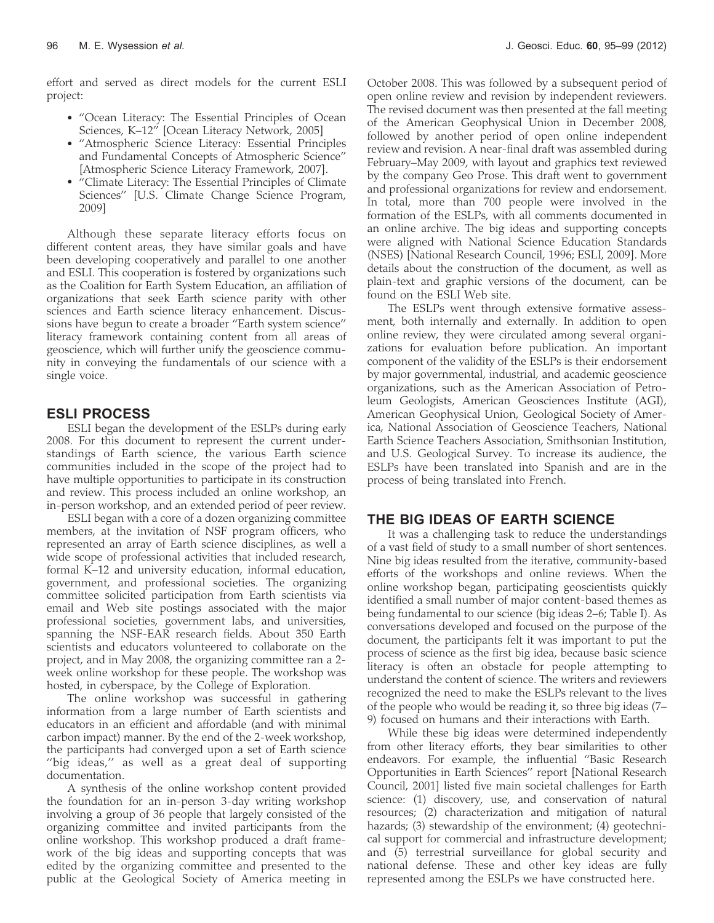effort and served as direct models for the current ESLI project:

- ''Ocean Literacy: The Essential Principles of Ocean Sciences, K-12" [Ocean Literacy Network, 2005]
- ''Atmospheric Science Literacy: Essential Principles and Fundamental Concepts of Atmospheric Science'' [Atmospheric Science Literacy Framework, 2007].
- ''Climate Literacy: The Essential Principles of Climate Sciences'' [U.S. Climate Change Science Program, 2009]

Although these separate literacy efforts focus on different content areas, they have similar goals and have been developing cooperatively and parallel to one another and ESLI. This cooperation is fostered by organizations such as the Coalition for Earth System Education, an affiliation of organizations that seek Earth science parity with other sciences and Earth science literacy enhancement. Discussions have begun to create a broader ''Earth system science'' literacy framework containing content from all areas of geoscience, which will further unify the geoscience community in conveying the fundamentals of our science with a single voice.

## ESLI PROCESS

ESLI began the development of the ESLPs during early 2008. For this document to represent the current understandings of Earth science, the various Earth science communities included in the scope of the project had to have multiple opportunities to participate in its construction and review. This process included an online workshop, an in-person workshop, and an extended period of peer review.

ESLI began with a core of a dozen organizing committee members, at the invitation of NSF program officers, who represented an array of Earth science disciplines, as well a wide scope of professional activities that included research, formal K–12 and university education, informal education, government, and professional societies. The organizing committee solicited participation from Earth scientists via email and Web site postings associated with the major professional societies, government labs, and universities, spanning the NSF-EAR research fields. About 350 Earth scientists and educators volunteered to collaborate on the project, and in May 2008, the organizing committee ran a 2 week online workshop for these people. The workshop was hosted, in cyberspace, by the College of Exploration.

The online workshop was successful in gathering information from a large number of Earth scientists and educators in an efficient and affordable (and with minimal carbon impact) manner. By the end of the 2-week workshop, the participants had converged upon a set of Earth science "big ideas," as well as a great deal of supporting documentation.

A synthesis of the online workshop content provided the foundation for an in-person 3-day writing workshop involving a group of 36 people that largely consisted of the organizing committee and invited participants from the online workshop. This workshop produced a draft framework of the big ideas and supporting concepts that was edited by the organizing committee and presented to the public at the Geological Society of America meeting in

October 2008. This was followed by a subsequent period of open online review and revision by independent reviewers. The revised document was then presented at the fall meeting of the American Geophysical Union in December 2008, followed by another period of open online independent review and revision. A near-final draft was assembled during February–May 2009, with layout and graphics text reviewed by the company Geo Prose. This draft went to government and professional organizations for review and endorsement. In total, more than 700 people were involved in the formation of the ESLPs, with all comments documented in an online archive. The big ideas and supporting concepts were aligned with National Science Education Standards (NSES) [National Research Council, 1996; ESLI, 2009]. More details about the construction of the document, as well as plain-text and graphic versions of the document, can be found on the ESLI Web site.

The ESLPs went through extensive formative assessment, both internally and externally. In addition to open online review, they were circulated among several organizations for evaluation before publication. An important component of the validity of the ESLPs is their endorsement by major governmental, industrial, and academic geoscience organizations, such as the American Association of Petroleum Geologists, American Geosciences Institute (AGI), American Geophysical Union, Geological Society of America, National Association of Geoscience Teachers, National Earth Science Teachers Association, Smithsonian Institution, and U.S. Geological Survey. To increase its audience, the ESLPs have been translated into Spanish and are in the process of being translated into French.

## THE BIG IDEAS OF EARTH SCIENCE

It was a challenging task to reduce the understandings of a vast field of study to a small number of short sentences. Nine big ideas resulted from the iterative, community-based efforts of the workshops and online reviews. When the online workshop began, participating geoscientists quickly identified a small number of major content-based themes as being fundamental to our science (big ideas 2–6; Table I). As conversations developed and focused on the purpose of the document, the participants felt it was important to put the process of science as the first big idea, because basic science literacy is often an obstacle for people attempting to understand the content of science. The writers and reviewers recognized the need to make the ESLPs relevant to the lives of the people who would be reading it, so three big ideas (7– 9) focused on humans and their interactions with Earth.

While these big ideas were determined independently from other literacy efforts, they bear similarities to other endeavors. For example, the influential ''Basic Research Opportunities in Earth Sciences'' report [National Research Council, 2001] listed five main societal challenges for Earth science: (1) discovery, use, and conservation of natural resources; (2) characterization and mitigation of natural hazards; (3) stewardship of the environment; (4) geotechnical support for commercial and infrastructure development; and (5) terrestrial surveillance for global security and national defense. These and other key ideas are fully represented among the ESLPs we have constructed here.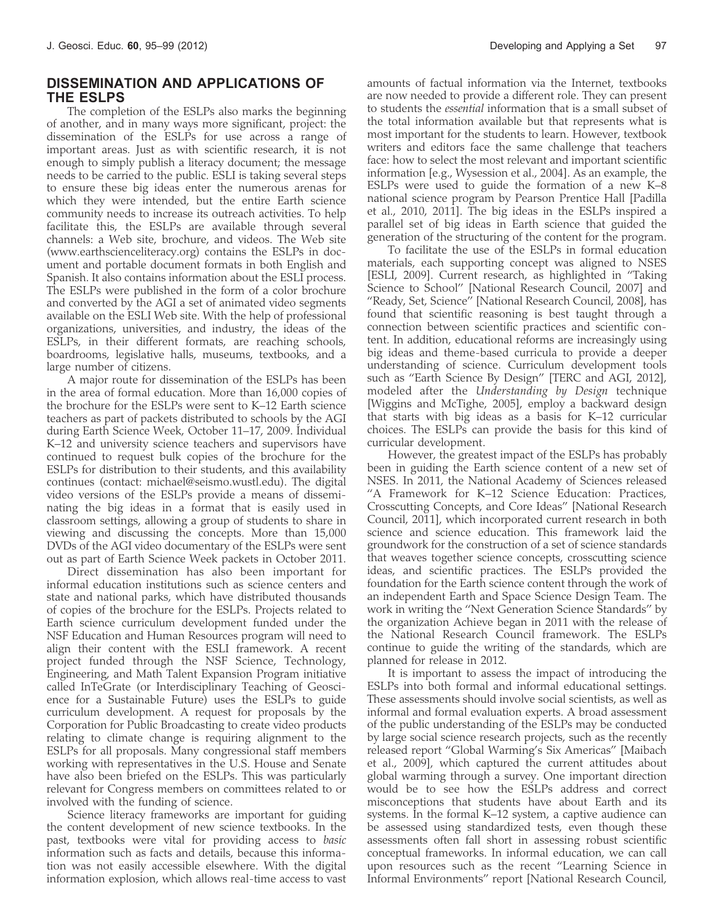#### DISSEMINATION AND APPLICATIONS OF THE ESLPS

The completion of the ESLPs also marks the beginning of another, and in many ways more significant, project: the dissemination of the ESLPs for use across a range of important areas. Just as with scientific research, it is not enough to simply publish a literacy document; the message needs to be carried to the public. ESLI is taking several steps to ensure these big ideas enter the numerous arenas for which they were intended, but the entire Earth science community needs to increase its outreach activities. To help facilitate this, the ESLPs are available through several channels: a Web site, brochure, and videos. The Web site (www.earthscienceliteracy.org) contains the ESLPs in document and portable document formats in both English and Spanish. It also contains information about the ESLI process. The ESLPs were published in the form of a color brochure and converted by the AGI a set of animated video segments available on the ESLI Web site. With the help of professional organizations, universities, and industry, the ideas of the ESLPs, in their different formats, are reaching schools, boardrooms, legislative halls, museums, textbooks, and a large number of citizens.

A major route for dissemination of the ESLPs has been in the area of formal education. More than 16,000 copies of the brochure for the ESLPs were sent to K–12 Earth science teachers as part of packets distributed to schools by the AGI during Earth Science Week, October 11–17, 2009. Individual K–12 and university science teachers and supervisors have continued to request bulk copies of the brochure for the ESLPs for distribution to their students, and this availability continues (contact: michael@seismo.wustl.edu). The digital video versions of the ESLPs provide a means of disseminating the big ideas in a format that is easily used in classroom settings, allowing a group of students to share in viewing and discussing the concepts. More than 15,000 DVDs of the AGI video documentary of the ESLPs were sent out as part of Earth Science Week packets in October 2011.

Direct dissemination has also been important for informal education institutions such as science centers and state and national parks, which have distributed thousands of copies of the brochure for the ESLPs. Projects related to Earth science curriculum development funded under the NSF Education and Human Resources program will need to align their content with the ESLI framework. A recent project funded through the NSF Science, Technology, Engineering, and Math Talent Expansion Program initiative called InTeGrate (or Interdisciplinary Teaching of Geoscience for a Sustainable Future) uses the ESLPs to guide curriculum development. A request for proposals by the Corporation for Public Broadcasting to create video products relating to climate change is requiring alignment to the ESLPs for all proposals. Many congressional staff members working with representatives in the U.S. House and Senate have also been briefed on the ESLPs. This was particularly relevant for Congress members on committees related to or involved with the funding of science.

Science literacy frameworks are important for guiding the content development of new science textbooks. In the past, textbooks were vital for providing access to basic information such as facts and details, because this information was not easily accessible elsewhere. With the digital information explosion, which allows real-time access to vast

amounts of factual information via the Internet, textbooks are now needed to provide a different role. They can present to students the essential information that is a small subset of the total information available but that represents what is most important for the students to learn. However, textbook writers and editors face the same challenge that teachers face: how to select the most relevant and important scientific information [e.g., Wysession et al., 2004]. As an example, the ESLPs were used to guide the formation of a new K–8 national science program by Pearson Prentice Hall [Padilla et al., 2010, 2011]. The big ideas in the ESLPs inspired a parallel set of big ideas in Earth science that guided the generation of the structuring of the content for the program.

To facilitate the use of the ESLPs in formal education materials, each supporting concept was aligned to NSES [ESLI, 2009]. Current research, as highlighted in ''Taking Science to School'' [National Research Council, 2007] and "Ready, Set, Science" [National Research Council, 2008], has found that scientific reasoning is best taught through a connection between scientific practices and scientific content. In addition, educational reforms are increasingly using big ideas and theme-based curricula to provide a deeper understanding of science. Curriculum development tools such as ''Earth Science By Design'' [TERC and AGI, 2012], modeled after the Understanding by Design technique [Wiggins and McTighe, 2005], employ a backward design that starts with big ideas as a basis for K–12 curricular choices. The ESLPs can provide the basis for this kind of curricular development.

However, the greatest impact of the ESLPs has probably been in guiding the Earth science content of a new set of NSES. In 2011, the National Academy of Sciences released ''A Framework for K–12 Science Education: Practices, Crosscutting Concepts, and Core Ideas'' [National Research Council, 2011], which incorporated current research in both science and science education. This framework laid the groundwork for the construction of a set of science standards that weaves together science concepts, crosscutting science ideas, and scientific practices. The ESLPs provided the foundation for the Earth science content through the work of an independent Earth and Space Science Design Team. The work in writing the ''Next Generation Science Standards'' by the organization Achieve began in 2011 with the release of the National Research Council framework. The ESLPs continue to guide the writing of the standards, which are planned for release in 2012.

It is important to assess the impact of introducing the ESLPs into both formal and informal educational settings. These assessments should involve social scientists, as well as informal and formal evaluation experts. A broad assessment of the public understanding of the ESLPs may be conducted by large social science research projects, such as the recently released report ''Global Warming's Six Americas'' [Maibach et al., 2009], which captured the current attitudes about global warming through a survey. One important direction would be to see how the ESLPs address and correct misconceptions that students have about Earth and its systems. In the formal K–12 system, a captive audience can be assessed using standardized tests, even though these assessments often fall short in assessing robust scientific conceptual frameworks. In informal education, we can call upon resources such as the recent ''Learning Science in Informal Environments'' report [National Research Council,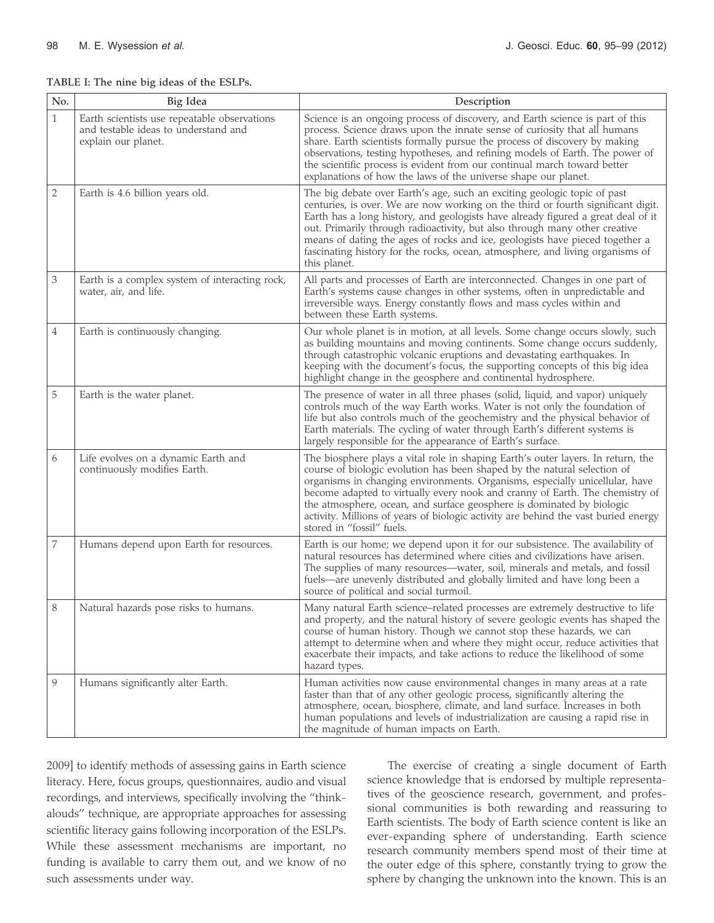#### TABLE I: The nine big ideas of the ESLPs.

| No.          | Big Idea                                                                                                    | Description                                                                                                                                                                                                                                                                                                                                                                                                                                                                                                             |
|--------------|-------------------------------------------------------------------------------------------------------------|-------------------------------------------------------------------------------------------------------------------------------------------------------------------------------------------------------------------------------------------------------------------------------------------------------------------------------------------------------------------------------------------------------------------------------------------------------------------------------------------------------------------------|
| $\mathbf{1}$ | Earth scientists use repeatable observations<br>and testable ideas to understand and<br>explain our planet. | Science is an ongoing process of discovery, and Earth science is part of this<br>process. Science draws upon the innate sense of curiosity that all humans<br>share. Earth scientists formally pursue the process of discovery by making<br>observations, testing hypotheses, and refining models of Earth. The power of<br>the scientific process is evident from our continual march toward better<br>explanations of how the laws of the universe shape our planet.                                                  |
| 2            | Earth is 4.6 billion years old.                                                                             | The big debate over Earth's age, such an exciting geologic topic of past<br>centuries, is over. We are now working on the third or fourth significant digit.<br>Earth has a long history, and geologists have already figured a great deal of it<br>out. Primarily through radioactivity, but also through many other creative<br>means of dating the ages of rocks and ice, geologists have pieced together a<br>fascinating history for the rocks, ocean, atmosphere, and living organisms of<br>this planet.         |
| 3            | Earth is a complex system of interacting rock,<br>water, air, and life.                                     | All parts and processes of Earth are interconnected. Changes in one part of<br>Earth's systems cause changes in other systems, often in unpredictable and<br>irreversible ways. Energy constantly flows and mass cycles within and<br>between these Earth systems.                                                                                                                                                                                                                                                      |
| 4            | Earth is continuously changing.                                                                             | Our whole planet is in motion, at all levels. Some change occurs slowly, such<br>as building mountains and moving continents. Some change occurs suddenly,<br>through catastrophic volcanic eruptions and devastating earthquakes. In<br>keeping with the document's focus, the supporting concepts of this big idea<br>highlight change in the geosphere and continental hydrosphere.                                                                                                                                  |
| 5            | Earth is the water planet.                                                                                  | The presence of water in all three phases (solid, liquid, and vapor) uniquely<br>controls much of the way Earth works. Water is not only the foundation of<br>life but also controls much of the geochemistry and the physical behavior of<br>Earth materials. The cycling of water through Earth's different systems is<br>largely responsible for the appearance of Earth's surface.                                                                                                                                  |
| 6            | Life evolves on a dynamic Earth and<br>continuously modifies Earth.                                         | The biosphere plays a vital role in shaping Earth's outer layers. In return, the<br>course of biologic evolution has been shaped by the natural selection of<br>organisms in changing environments. Organisms, especially unicellular, have<br>become adapted to virtually every nook and cranny of Earth. The chemistry of<br>the atmosphere, ocean, and surface geosphere is dominated by biologic<br>activity. Millions of years of biologic activity are behind the vast buried energy<br>stored in "fossil" fuels. |
| 7            | Humans depend upon Earth for resources.                                                                     | Earth is our home; we depend upon it for our subsistence. The availability of<br>natural resources has determined where cities and civilizations have arisen.<br>The supplies of many resources—water, soil, minerals and metals, and fossil<br>fuels—are unevenly distributed and globally limited and have long been a<br>source of political and social turmoil.                                                                                                                                                     |
| 8            | Natural hazards pose risks to humans.                                                                       | Many natural Earth science-related processes are extremely destructive to life<br>and property, and the natural history of severe geologic events has shaped the<br>course of human history. Though we cannot stop these hazards, we can<br>attempt to determine when and where they might occur, reduce activities that<br>exacerbate their impacts, and take actions to reduce the likelihood of some<br>hazard types.                                                                                                |
| 9            | Humans significantly alter Earth.                                                                           | Human activities now cause environmental changes in many areas at a rate<br>faster than that of any other geologic process, significantly altering the<br>atmosphere, ocean, biosphere, climate, and land surface. Increases in both<br>human populations and levels of industrialization are causing a rapid rise in<br>the magnitude of human impacts on Earth.                                                                                                                                                       |

2009] to identify methods of assessing gains in Earth science literacy. Here, focus groups, questionnaires, audio and visual recordings, and interviews, specifically involving the ''thinkalouds'' technique, are appropriate approaches for assessing scientific literacy gains following incorporation of the ESLPs. While these assessment mechanisms are important, no funding is available to carry them out, and we know of no such assessments under way.

The exercise of creating a single document of Earth science knowledge that is endorsed by multiple representatives of the geoscience research, government, and professional communities is both rewarding and reassuring to Earth scientists. The body of Earth science content is like an ever-expanding sphere of understanding. Earth science research community members spend most of their time at the outer edge of this sphere, constantly trying to grow the sphere by changing the unknown into the known. This is an